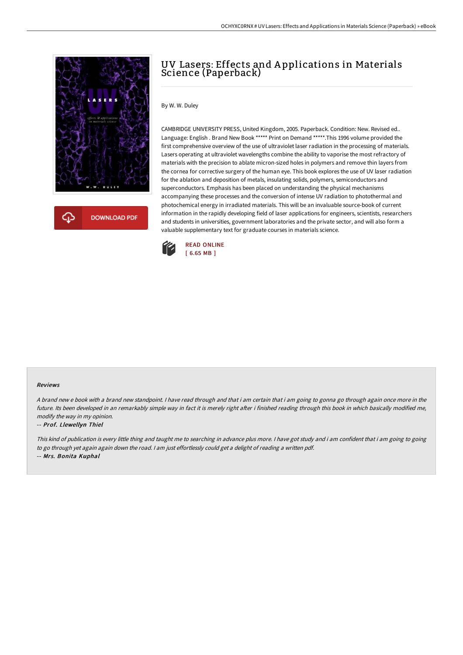

# UV Lasers: Effects and A pplications in Materials Science (Paperback)

### By W. W. Duley

CAMBRIDGE UNIVERSITY PRESS, United Kingdom, 2005. Paperback. Condition: New. Revised ed.. Language: English . Brand New Book \*\*\*\*\* Print on Demand \*\*\*\*\*.This 1996 volume provided the first comprehensive overview of the use of ultraviolet laser radiation in the processing of materials. Lasers operating at ultraviolet wavelengths combine the ability to vaporise the most refractory of materials with the precision to ablate micron-sized holes in polymers and remove thin layers from the cornea for corrective surgery of the human eye. This book explores the use of UV laser radiation for the ablation and deposition of metals, insulating solids, polymers, semiconductors and superconductors. Emphasis has been placed on understanding the physical mechanisms accompanying these processes and the conversion of intense UV radiation to photothermal and photochemical energy in irradiated materials. This will be an invaluable source-book of current information in the rapidly developing field of laser applications for engineers, scientists, researchers and students in universities, government laboratories and the private sector, and will also form a valuable supplementary text for graduate courses in materials science.



#### Reviews

A brand new <sup>e</sup> book with <sup>a</sup> brand new standpoint. I have read through and that i am certain that i am going to gonna go through again once more in the future. Its been developed in an remarkably simple way in fact it is merely right after i finished reading through this book in which basically modified me, modify the way in my opinion.

#### -- Prof. Llewellyn Thiel

This kind of publication is every little thing and taught me to searching in advance plus more. <sup>I</sup> have got study and i am confident that i am going to going to go through yet again again down the road. <sup>I</sup> am just effortlessly could get <sup>a</sup> delight of reading <sup>a</sup> written pdf. -- Mrs. Bonita Kuphal